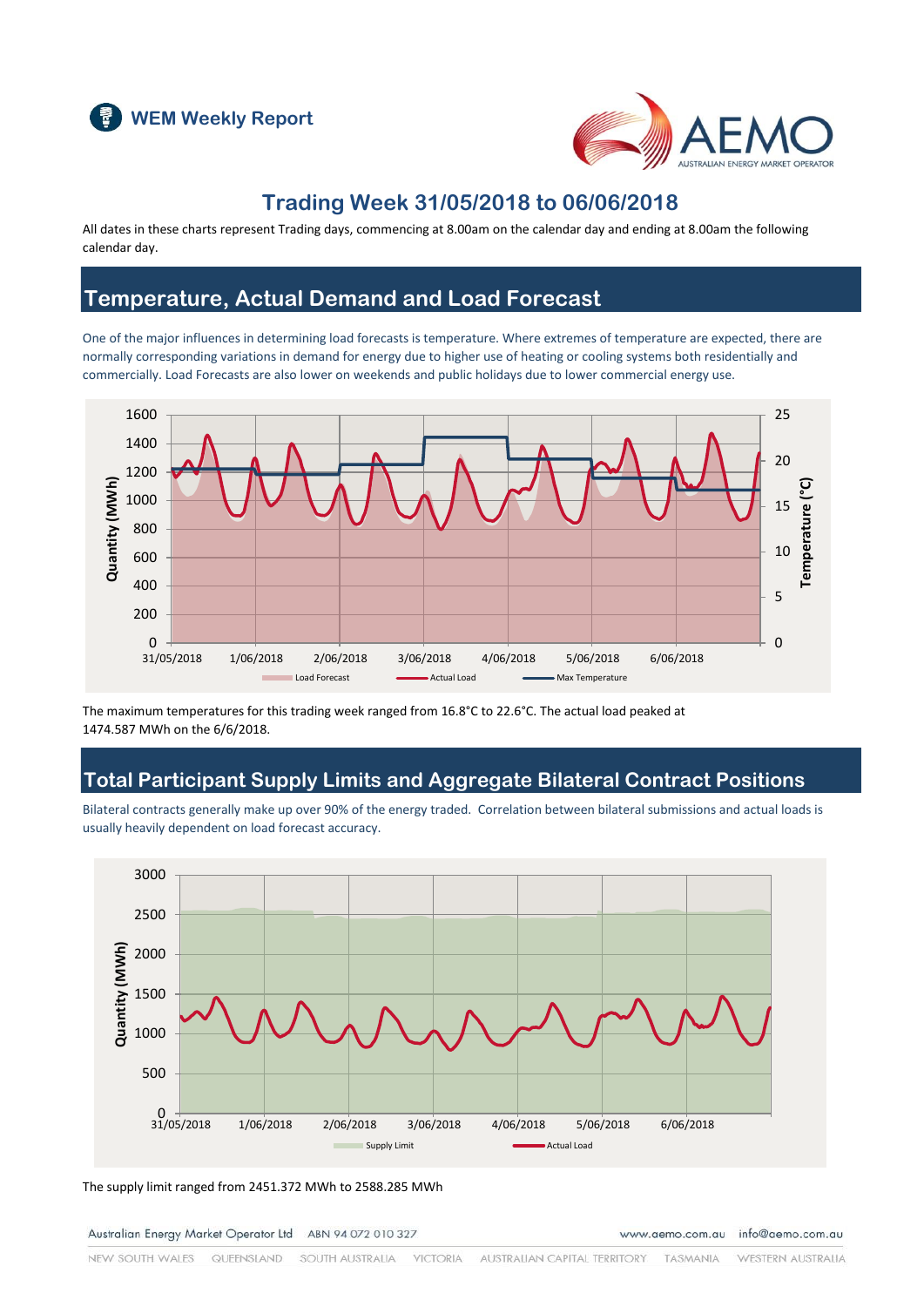



### **Trading Week 31/05/2018 to 06/06/2018**

All dates in these charts represent Trading days, commencing at 8.00am on the calendar day and ending at 8.00am the following calendar day.

### **Temperature, Actual Demand and Load Forecast**

One of the major influences in determining load forecasts is temperature. Where extremes of temperature are expected, there are normally corresponding variations in demand for energy due to higher use of heating or cooling systems both residentially and commercially. Load Forecasts are also lower on weekends and public holidays due to lower commercial energy use.



The maximum temperatures for this trading week ranged from 16.8°C to 22.6°C. The actual load peaked at 1474.587 MWh on the 6/6/2018.

### **Total Participant Supply Limits and Aggregate Bilateral Contract Positions**

Bilateral contracts generally make up over 90% of the energy traded. Correlation between bilateral submissions and actual loads is usually heavily dependent on load forecast accuracy.



The supply limit ranged from 2451.372 MWh to 2588.285 MWh

Australian Energy Market Operator Ltd ABN 94 072 010 327

www.aemo.com.au info@aemo.com.au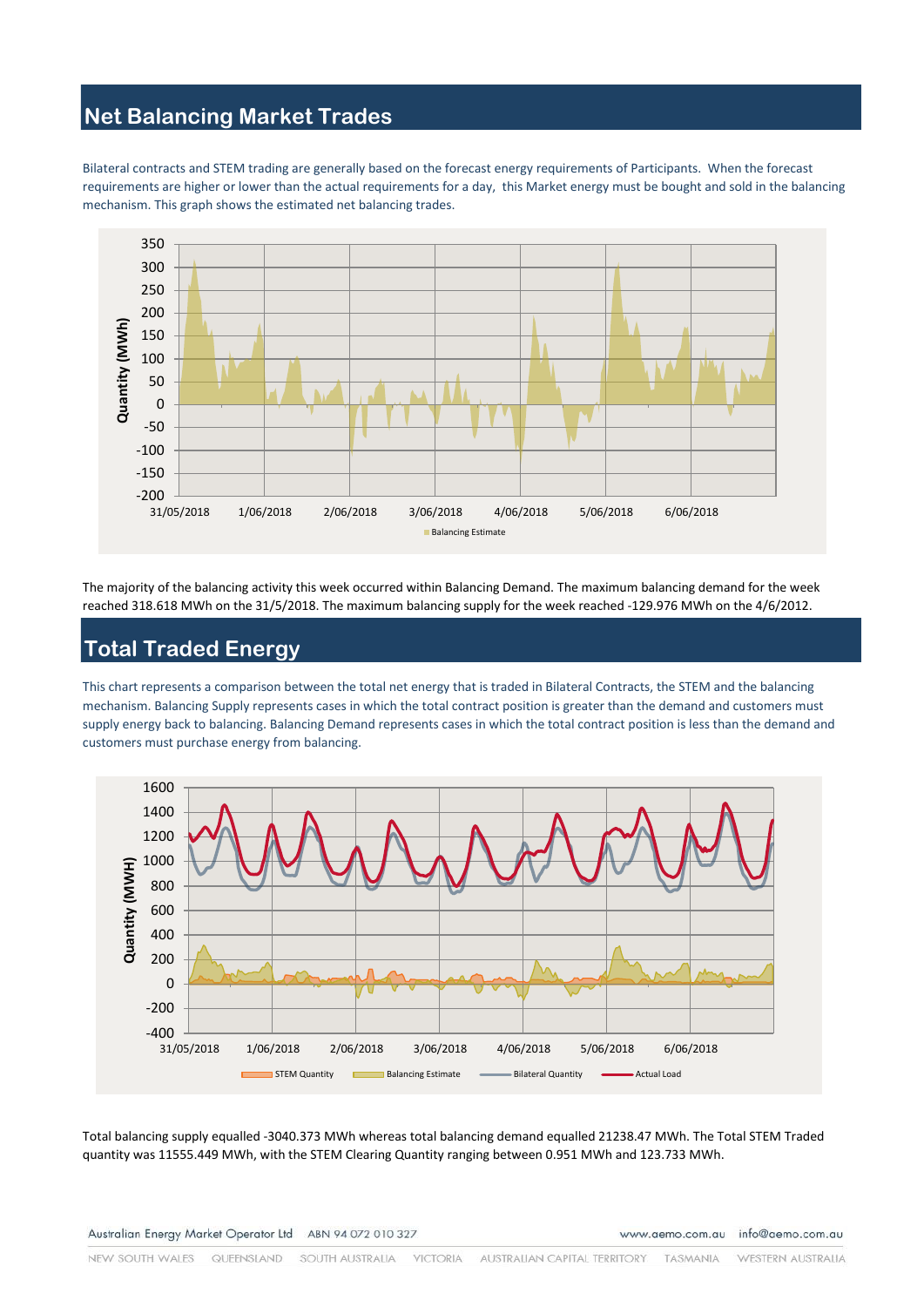### **Net Balancing Market Trades**

Bilateral contracts and STEM trading are generally based on the forecast energy requirements of Participants. When the forecast requirements are higher or lower than the actual requirements for a day, this Market energy must be bought and sold in the balancing mechanism. This graph shows the estimated net balancing trades.



The majority of the balancing activity this week occurred within Balancing Demand. The maximum balancing demand for the week reached 318.618 MWh on the 31/5/2018. The maximum balancing supply for the week reached -129.976 MWh on the 4/6/2012.

# **Total Traded Energy**

This chart represents a comparison between the total net energy that is traded in Bilateral Contracts, the STEM and the balancing mechanism. Balancing Supply represents cases in which the total contract position is greater than the demand and customers must supply energy back to balancing. Balancing Demand represents cases in which the total contract position is less than the demand and customers must purchase energy from balancing.



Total balancing supply equalled -3040.373 MWh whereas total balancing demand equalled 21238.47 MWh. The Total STEM Traded quantity was 11555.449 MWh, with the STEM Clearing Quantity ranging between 0.951 MWh and 123.733 MWh.

www.aemo.com.au info@aemo.com.au